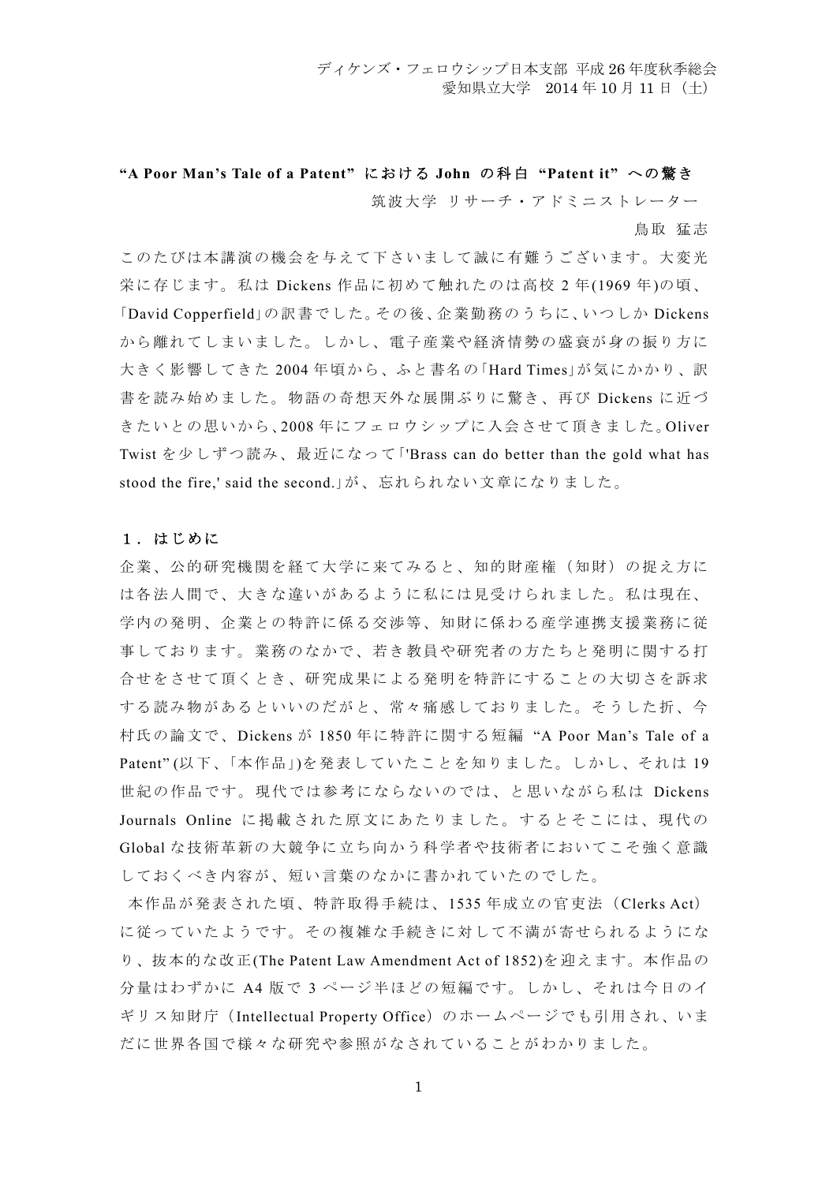# **"A Poor Man's Tale of a Patent"** における **John** の科白 **"Patent it"** への驚き 筑波大学 リサーチ・アドミニストレーター

鳥取 猛志

このたびは本講演の機会を与えて下さいまして誠に有難うございます。大変光 栄に存じます。私は Dickens 作品に初めて触れたのは高校 2 年(1969 年)の頃、 「David Copperfield」の訳書でした。その後、企業勤務のうちに、いつしか Dickens から離れてしまいました。しかし、電子産業や経済情勢の盛衰が身の振り方に 大きく影響してきた 2004 年頃から、ふと書名の 「Hard Times」が気にかかり、訳 書を読み始めました。物語の奇想天外な展開ぶりに驚き、再び Dickens に近づ きたいとの思いから、2008 年にフェロウシップに入会させて頂きました。Oliver Twist を少しずつ読み、最近になって「'Brass can do better than the gold what has stood the fire,' said the second.」が、忘れられない文章になりました。

### 1.はじめに

企業、公的研究機関を経て大学に来てみると、知的財産権(知財)の捉え方に は各法人間で、大きな違いがあるように私には見受けられました。私は現在、 学内の発明、企業との特許に係る交渉等、知財に係わる産学連携支援業務に従 事しております。業務のなかで、若き教員や研究者の方たちと発明に関する打 合せをさせて頂くとき、研究成果による発明を特許にすることの大切さを訴求 する読み物があるといいのだがと、常々痛感しておりました。そうした折、今 村氏の論文で、Dickens が 1850 年に特許に関する短編 "A Poor Man's Tale of a Patent" (以下、「本作品」)を発表していたことを知りました。しかし、それは 19 世紀の作品です。現代では参考にならないのでは、と思いながら私は Dickens Journals Online に掲載された原文にあたりました。するとそこには、現代の Global な技術革新の大競争に立ち向かう科学者や技術者においてこそ強く意識 しておくべき内容が、短い言葉のなかに書かれていたのでした。

本作品が発表された頃、特許取得手続は、1535 年成立の官吏法(Clerks Act) に従っていたようです。その複雑な手続きに対して不満が寄せられるようにな り、抜本的な改正(The Patent Law Amendment Act of 1852)を迎えます。本作品の 分量はわずかに A4 版で 3 ページ半ほどの短編です。しかし、それは今日のイ ギリス知財庁(Intellectual Property Office)のホームページでも引用され、いま だに世界各国で様々な研究や参照がなされていることがわかりました。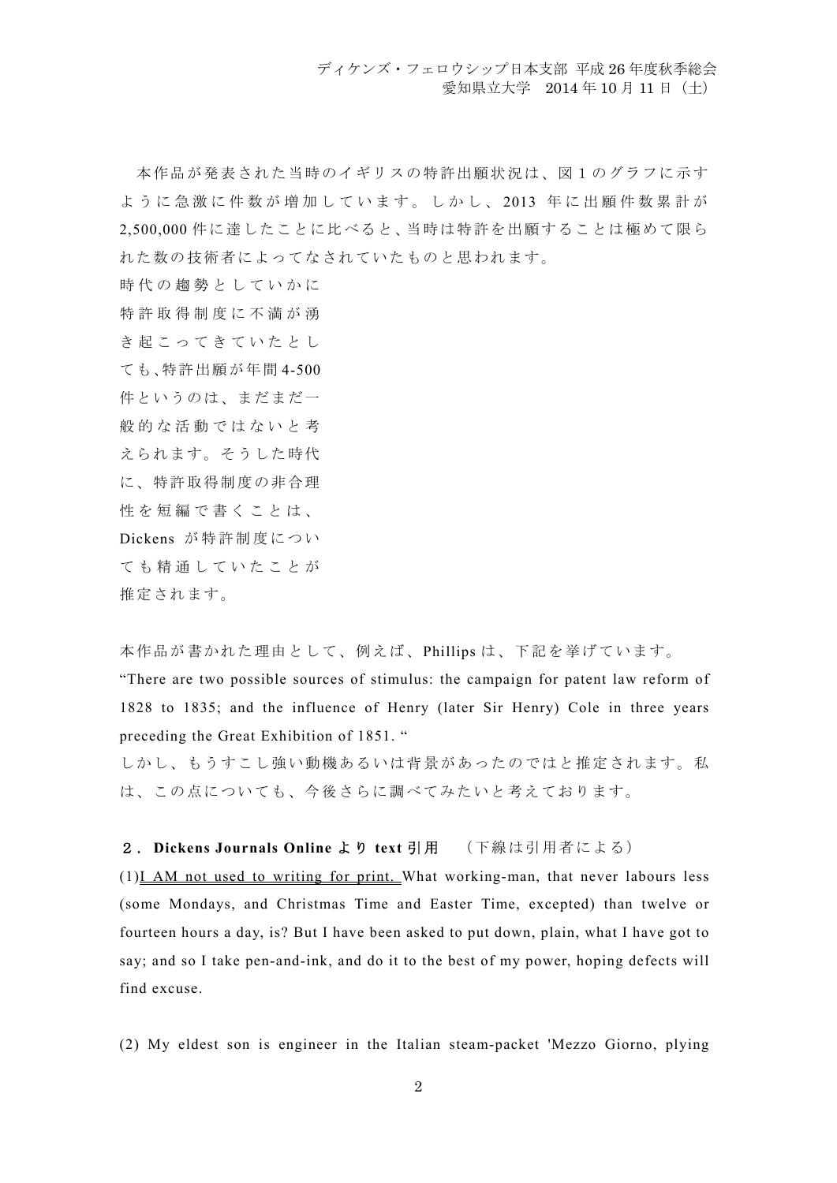本作品が発表された当時のイギリスの特許出願状況は、図1のグラフに示す ように急激に件数が増加しています。しかし、 2013 年に出願件数累計が 2,500,000 件に達したことに比べると、当時は特許を出願することは極めて限ら れた数の技術者によってなされていたものと思われます。

時代の趨勢としていかに

特許取得制度に不満が湧

き起こってきていたとし

ても、特許出願が年間 4-500

件というのは、まだまだ一

般的な活動ではないと考

えられます。そうした時代

に、特許取得制度の非合理

性を短編で書くことは、

Dickens が特許制度につい

ても精通していたことが

推定されます。

本作品が書かれた理由として、例えば、Phillips は、下記を挙げています。

"There are two possible sources of stimulus: the campaign for patent law reform of 1828 to 1835; and the influence of Henry (later Sir Henry) Cole in three years preceding the Great Exhibition of 1851. "

しかし、もうすこし強い動機あるいは背景があったのではと推定されます。私 は、この点についても、今後さらに調べてみたいと考えております。

## 2.**Dickens Journals Online** より **text** 引用 (下線は引用者による)

(1)I AM not used to writing for print. What working-man, that never labours less (some Mondays, and Christmas Time and Easter Time, excepted) than twelve or fourteen hours a day, is? But I have been asked to put down, plain, what I have got to say; and so I take pen-and-ink, and do it to the best of my power, hoping defects will find excuse.

(2) My eldest son is engineer in the Italian steam-packet 'Mezzo Giorno, plying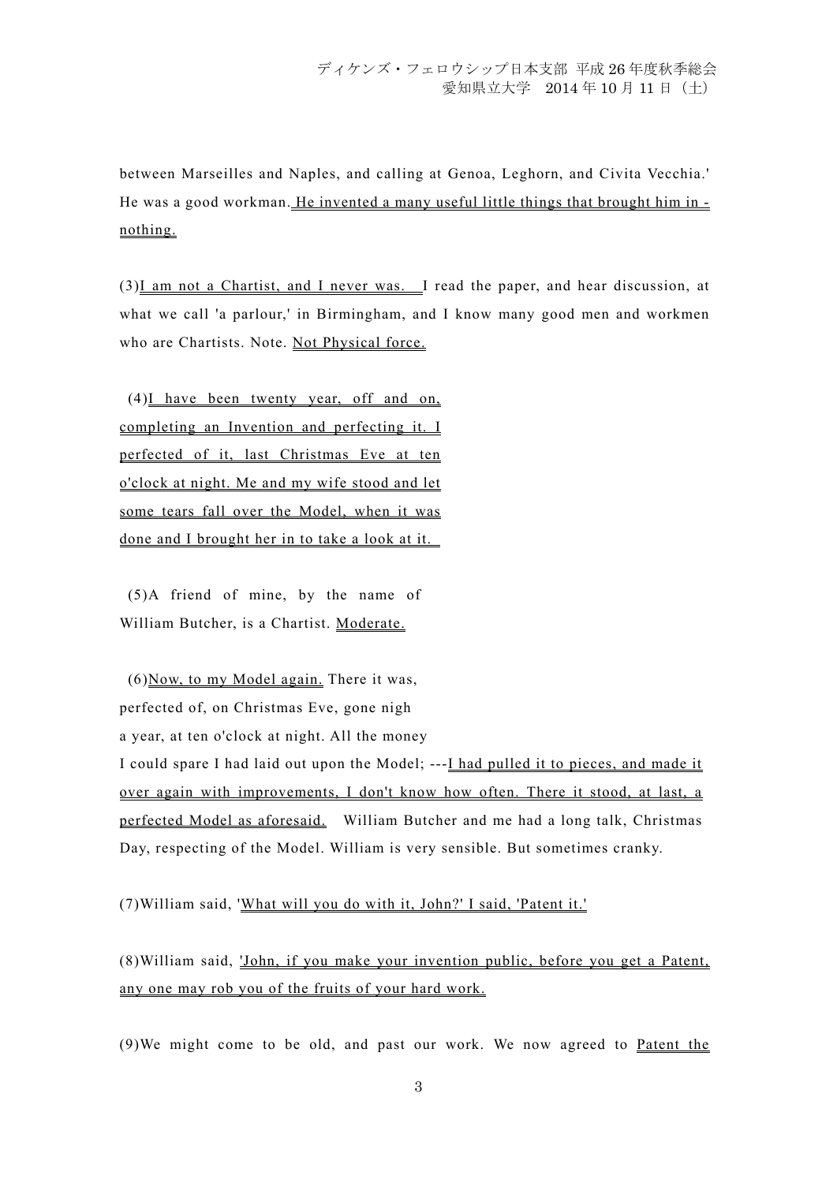between Marseilles and Naples, and calling at Genoa, Leghorn, and Civita Vecchia.' He was a good workman. He invented a many useful little things that brought him in nothing.

(3)I am not a Chartist, and I never was. I read the paper, and hear discussion, at what we call 'a parlour,' in Birmingham, and I know many good men and workmen who are Chartists. Note. Not Physical force.

 (4)I have been twenty year, off and on, completing an Invention and perfecting it. I perfected of it, last Christmas Eve at ten o'clock at night. Me and my wife stood and let some tears fall over the Model, when it was done and I brought her in to take a look at it.

 (5)A friend of mine, by the name of William Butcher, is a Chartist. Moderate.

 $(6)$ Now, to my Model again. There it was, perfected of, on Christmas Eve, gone nigh a year, at ten o'clock at night. All the money I could spare I had laid out upon the Model; ---I had pulled it to pieces, and made it over again with improvements, I don't know how often. There it stood, at last, a perfected Model as aforesaid. William Butcher and me had a long talk, Christmas Day, respecting of the Model. William is very sensible. But sometimes cranky.

(7)William said, 'What will you do with it, John?' I said, 'Patent it.'

(8)William said, 'John, if you make your invention public, before you get a Patent, any one may rob you of the fruits of your hard work.

(9)We might come to be old, and past our work. We now agreed to Patent the